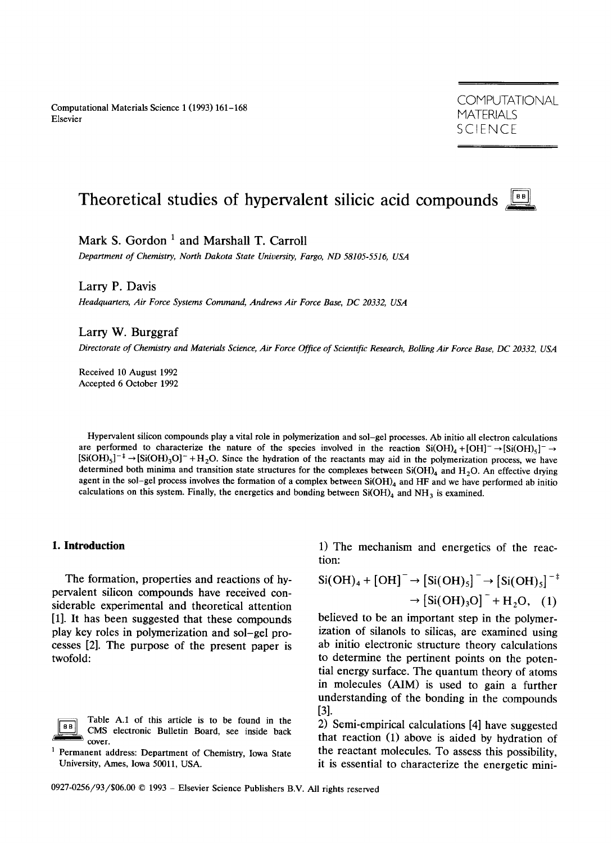Computational Materials Science 1 (1993) 161-168 Elsevier

**COMPUTATIONAL MATERIALS** SCIENCE

# **Theoretical studies of hypervalent silicic acid compounds**

Mark S. Gordon<sup>1</sup> and Marshall T. Carroll

*Department of Chemistry, North Dakota State University, Fargo, ND 58105-5516, USA* 

Larry P. Davis

*Headquarters, Air Force Systems Command, Andrews Air Force Base, DC 20332, USA* 

Larry W. Burggraf

*Directorate of Chemistry and Materials Science, Air Force Office of Scientific Research, Boiling Air Force Base, DC 20332, USA* 

Received 10 August 1992 Accepted 6 October 1992

Hypervalent silicon compounds play a vital role in polymerization and sol-gel processes. Ab initio all electron calculations are performed to characterize the nature of the species involved in the reaction  $Si(OH)_4 + [OH]^- \rightarrow [Si(OH)_5]^- \rightarrow$  $[Si(OH)_5]^{-1} \rightarrow [Si(OH)_3O]^+ + H_2O$ . Since the hydration of the reactants may aid in the polymerization process, we have determined both minima and transition state structures for the complexes between  $Si(OH)_4$  and  $H_2O$ . An effective drying agent in the sol-gel process involves the formation of a complex between  $Si(OH)_4$  and HF and we have performed ab initio calculations on this system. Finally, the energetics and bonding between  $Si(OH)_4$  and NH<sub>3</sub> is examined.

# **I. Introduction**

The formation, properties and reactions of hypervalent silicon compounds have received considerable experimental and theoretical attention [1]. It has been suggested that these compounds play key roles in polymerization and sol-gel processes [2]. The purpose of the present paper is twofold:

Table A.1 of this article is to be found in the 8 B CMS electronic Bulletin Board, see inside back cover.

<sup>1</sup> Permanent address: Department of Chemistry, Iowa State University, Ames, Iowa 50011, USA.

1) The mechanism and energetics of the reaction:

$$
Si(OH)_4 + [OH]- \rightarrow [Si(OH)_5]- \rightarrow [Si(OH)_3]^{-+}
$$

$$
\rightarrow [Si(OH)_3O]- + H_2O, (1)
$$

believed to be an important step in the polymerization of silanols to silicas, are examined using ab initio electronic structure theory calculations to determine the pertinent points on the potential energy surface. The quantum theory of atoms in molecules (AIM) is used to gain a further understanding of the bonding in the compounds [31.

2) Semi-empirical calculations [4] have suggested that reaction (1) above is aided by hydration of the reactant molecules. To assess this possibility, it is essential to characterize the energetic mini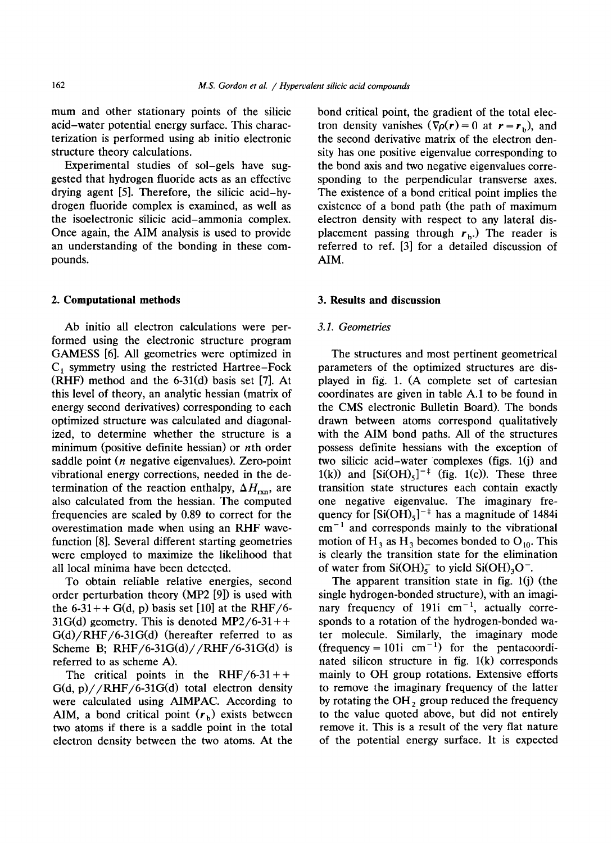mum and other stationary points of the silicic acid-water potential energy surface. This characterization is performed using ab initio electronic structure theory calculations.

Experimental studies of sol-gels have suggested that hydrogen fluoride acts as an effective drying agent [5]. Therefore, the silicic acid-hydrogen fluoride complex is examined, as well as the isoelectronic silicic acid-ammonia complex. Once again, the AIM analysis is used to provide an understanding of the bonding in these compounds.

## **2. Computational methods**

Ab initio all electron calculations were performed using the electronic structure program GAMESS [6]. All geometries were optimized in  $C_1$  symmetry using the restricted Hartree-Fock (RHF) method and the 6-31(d) basis set [7]. At this level of theory, an analytic hessian (matrix of energy second derivatives) corresponding to each optimized structure was calculated and diagonalized, to determine whether the structure is a minimum (positive definite hessian) or *n*th order saddle point (n negative eigenvalues). Zero-point vibrational energy corrections, needed in the determination of the reaction enthalpy,  $\Delta H_{\rm rxn}$ , are also calculated from the hessian. The computed frequencies are scaled by 0.89 to correct for the overestimation made when using an RHF wavefunction [8]. Several different starting geometries were employed to maximize the likelihood that all local minima have been detected.

To obtain reliable relative energies, second order perturbation theory (MP2 [9]) is used with the 6-31++ G(d, p) basis set [10] at the RHF/6- $31G(d)$  geometry. This is denoted MP2/6-31++  $G(d)/RHF/6-31G(d)$  (hereafter referred to as Scheme B; RHF/6-31G(d)//RHF/6-31G(d) is referred to as scheme A).

The critical points in the RHF/6-31++  $G(d, p) // RHF/6-31G(d)$  total electron density were calculated using AIMPAC. According to AIM, a bond critical point  $(r<sub>b</sub>)$  exists between two atoms if there is a saddle point in the total electron density between the two atoms. At the bond critical point, the gradient of the total electron density vanishes  $(\nabla \rho(r) = 0$  at  $r = r_b)$ , and the second derivative matrix of the electron density has one positive eigenvalue corresponding to the bond axis and two negative eigenvalues corresponding to the perpendicular transverse axes. The existence of a bond critical point implies the existence of a bond path (the path of maximum electron density with respect to any lateral displacement passing through  $r_b$ .) The reader is referred to ref. [3] for a detailed discussion of AIM.

#### **3. Results and discussion**

## *3.1. Geometries*

The structures and most pertinent geometrical parameters of the optimized structures are displayed in fig. 1. (A complete set of cartesian coordinates are given in table A.1 to be found in the CMS electronic Bulletin Board). The bonds drawn between atoms correspond qualitatively with the AIM bond paths. All of the structures possess definite hessians with the exception of two silicic acid-water complexes (figs. l(j) and 1(k)) and  $[Si(OH)<sub>5</sub>]<sup>- $\pm$</sup>  (fig. 1(c)). These three$ transition state structures each contain exactly one negative eigenvalue. The imaginary frequency for  $\left[\text{Si(OH)}_{5}\right]^{-1}$  has a magnitude of 1484i  $cm^{-1}$  and corresponds mainly to the vibrational motion of H<sub>3</sub> as H<sub>3</sub> becomes bonded to  $O_{10}$ . This is clearly the transition state for the elimination of water from Si(OH) $_5^-$  to yield Si(OH)<sub>3</sub>O<sup>-</sup>.

The apparent transition state in fig.  $1(j)$  (the single hydrogen-bonded structure), with an imaginary frequency of 191i  $cm^{-1}$ , actually corresponds to a rotation of the hydrogen-bonded water molecule. Similarly, the imaginary mode (frequency = 101i cm<sup>-1</sup>) for the pentacoordinated silicon structure in fig.  $1(k)$  corresponds mainly to OH group rotations. Extensive efforts to remove the imaginary frequency of the latter by rotating the  $OH<sub>2</sub>$  group reduced the frequency to the value quoted above, but did not entirely remove it. This is a result of the very flat nature of the potential energy surface. It is expected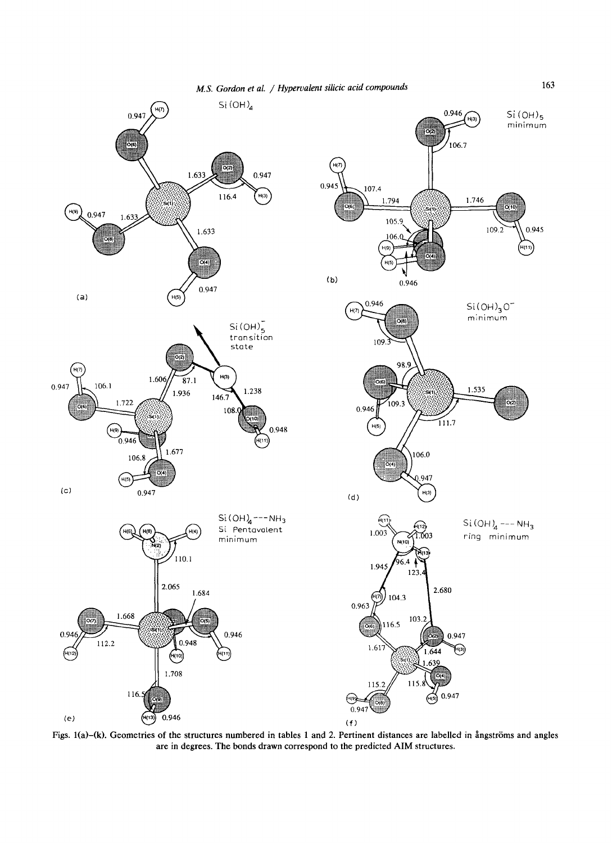

Figs. 1(a)-(k). Geometries of the structures numbered in tables 1 and 2. Pertinent distances are labelled in ångströms and angles are in degrees. The bonds drawn correspond to the predicted AIM structures.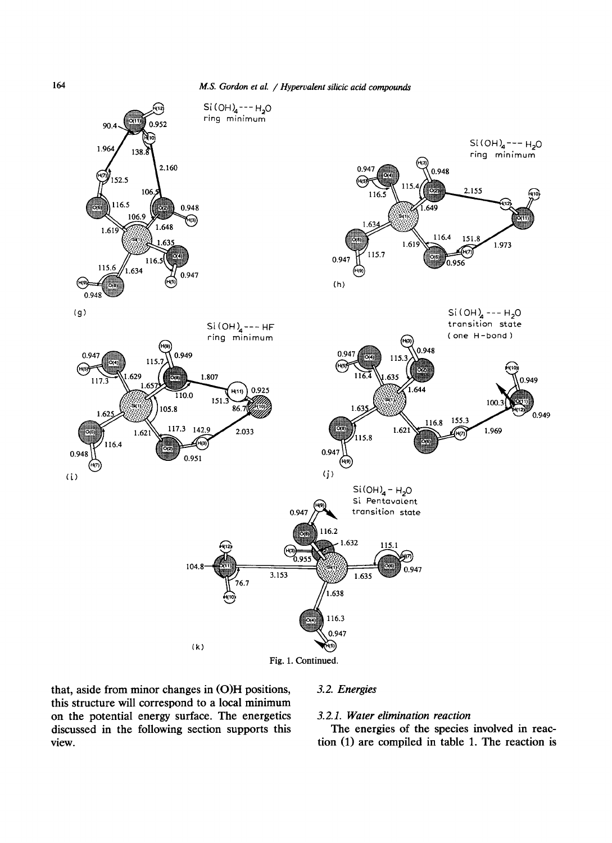

**that, aside from minor changes in (O)H positions, this structure will correspond to a local minimum on the potential energy surface. The energetics discussed in the following section supports this view.** 

# *3.2. Energies*

# *3.2.1. Water elimination reaction*

The energies of the species involved in reaction (1) are compiled in table 1. The reaction is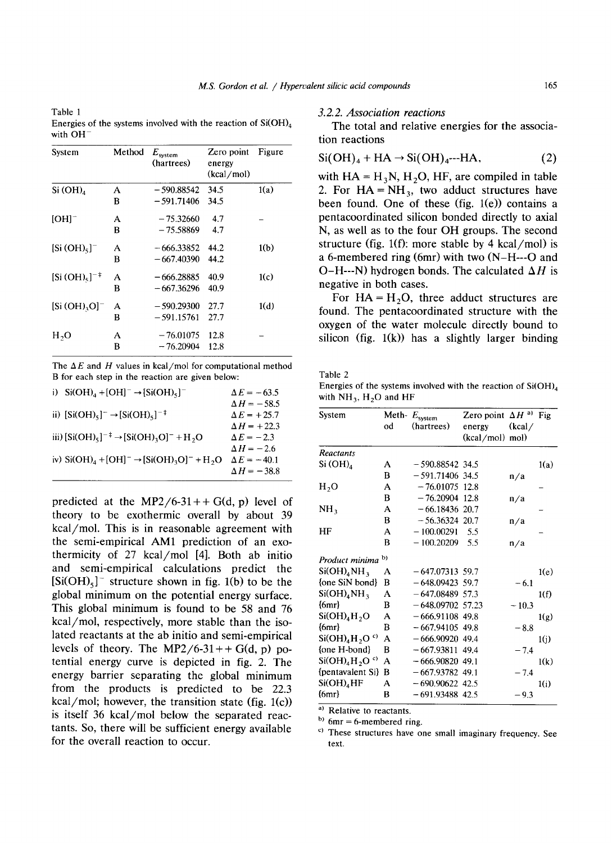Table 1 Energies of the systems involved with the reaction of  $Si(OH)_{4}$ with OH

| System                     | Method | $E_{\rm system}$<br>(hartrees) | Zero point<br>energy<br>(kcal/mol) | Figure |
|----------------------------|--------|--------------------------------|------------------------------------|--------|
| Si(OH) <sub>4</sub>        | A      | $-590.88542$                   | 34.5                               | 1(a)   |
|                            | в      | - 591.71406                    | 34.5                               |        |
| $[OH]^-$                   | A      | $-75.32660$                    | 4.7                                |        |
|                            | в      | $-75.58869$                    | 4.7                                |        |
| [Si(OH) <sub>5</sub> ]     | A      | $-666.33852$                   | 44.2                               | 1(b)   |
|                            | B      | $-667,40390$                   | 44.2                               |        |
| $[Si(OH)_{5}]^{-\ddagger}$ | A      | – 666.28885                    | 40.9                               | 1(c)   |
|                            | в      | $-667.36296$                   | 40.9                               |        |
| $[Si(OH),O]^-$             | А      | $-590.29300$                   | 27.7                               | 1(d)   |
|                            | B      | $-591.15761$                   | 27.7                               |        |
| H <sub>2</sub> O           | A      | $-76.01075$                    | 12.8                               |        |
|                            | B      | $-76.20904$                    | 12.8                               |        |

The  $\Delta E$  and H values in kcal/mol for computational method B for each step in the reaction are given below:

| i) $Si(OH)4 + [OH]- \rightarrow [Si(OH)5]$ <sup>-</sup>                                               | $\Delta E = -63.5$ |
|-------------------------------------------------------------------------------------------------------|--------------------|
|                                                                                                       | $\Delta H = -58.5$ |
| ii) [Si(OH) <sub>5</sub> ] <sup>-</sup> → [Si(OH) <sub>5</sub> ] <sup>-‡</sup>                        | $\Delta E = +25.7$ |
|                                                                                                       | $\Delta H$ = +22.3 |
| iii) $[Si(OH)_{5}]^{-\ddagger}$ → $[Si(OH)_{3}O]^{-}$ + H <sub>2</sub> O                              | $\Delta E = -2.3$  |
|                                                                                                       | $\Delta H = -2.6$  |
| iv) Si(OH) <sub>4</sub> + [OH] <sup>-</sup> → [Si(OH) <sub>3</sub> O] <sup>-</sup> + H <sub>2</sub> O | $\Delta E = -40.1$ |
|                                                                                                       | $\Delta H = -38.8$ |
|                                                                                                       |                    |

predicted at the MP2/6-31++  $G(d, p)$  level of **theory to be exothermic overall by about 39 kcal/mol. This is in reasonable agreement with the semi-empirical AM1 prediction of an exothermicity of 27 kcal/mol [4]. Both ab initio and semi-empirical calculations predict the**   $[Si(OH)<sub>5</sub>]$ <sup>-</sup> structure shown in fig. 1(b) to be the **global minimum on the potential energy surface. This global minimum is found to be 58 and 76 kcal/mol, respectively, more stable than the isolated** reactants at the ab initio and semi-empirical levels of theory. The MP2/6-31++  $G(d, p)$  po**tential** energy curve is depicted in fig. 2. The **energy barrier separating the global minimum from the products is predicted to be 22.3 kcat/mol; however, the transition state (fig. l(c)) is itself 36 kcal/mol below the separated reactants. So, there will be sufficient energy available for the overall reaction to occur.** 

*3.2.2. Association reactions* 

The total and relative energies for the association reactions

$$
Si(OH)_4 + HA \rightarrow Si(OH)_{4}--HA, \tag{2}
$$

with  $HA = H<sub>3</sub>N$ ,  $H<sub>2</sub>O$ , HF, are compiled in table 2. For  $HA = NH_3$ , two adduct structures have been found. One of these (fig.  $1(e)$ ) contains a pentacoordinated silicon bonded directly to axial N, as well as to the four OH groups. The second structure (fig. 1(f): more stable by 4 kcal/mol) is a 6-membered ring (6mr) with two (N-H---O and O-H---N) hydrogen bonds. The calculated  $\Delta H$  is negative in both cases.

For  $HA = H<sub>2</sub>O$ , three adduct structures are found. The pentacoordinated structure with the oxygen of the water molecule directly bound to silicon (fig.  $1(k)$ ) has a slightly larger binding

Table 2

Energies of the systems involved with the reaction of  $Si(OH)$ with  $NH_3$ ,  $H_2O$  and HF

| System                               | od | Meth- $E_{\text{system}}$<br>(hartrees) | Zero point $\Delta H^{a}$<br>energy<br>(kcal/mol) mol) | (kcal/  | Fig  |
|--------------------------------------|----|-----------------------------------------|--------------------------------------------------------|---------|------|
| Reactants                            |    |                                         |                                                        |         |      |
| Si $(OH)_4$                          | A  | $-590.88542$ 34.5                       |                                                        |         | 1(a) |
|                                      | в  | $-591.71406$                            | 34.5                                                   | n/a     |      |
| H <sub>2</sub> O                     | A  | $-76.01075$                             | 12.8                                                   |         |      |
|                                      | в  | $-76.20904$                             | 12.8                                                   | n/a     |      |
| NH <sub>3</sub>                      | A  | $-66.18436$                             | 20.7                                                   |         |      |
|                                      | B  | $-56,36324$ 20.7                        |                                                        | n/a     |      |
| HF                                   | A  | $-100.00291$                            | 5.5                                                    |         |      |
|                                      | B  | $-100.20209$                            | 5.5                                                    | n/a     |      |
| Product minima                       | b) |                                         |                                                        |         |      |
| $Si(OH)_{4}NH_{3}$                   | А  | $-647.07313$ 59.7                       |                                                        |         | 1(e) |
| {one SiN bond}                       | в  | $-648.09423$ 59.7                       |                                                        | $-6.1$  |      |
| $Si(OH)_{4}NH_{3}$                   | A  | $-647.08489$ 57.3                       |                                                        |         | 1(f) |
| ${6mr}$                              | В  | $-648.09702$ 57.23                      |                                                        | $-10.3$ |      |
| Si(OH) <sub>4</sub> H <sub>2</sub> O | А  | $-666.91108$ 49.8                       |                                                        |         | 1(g) |
| ${6mr}$                              | в  | $-667.94105$ 49.8                       |                                                        | $-8.8$  |      |
| $Si(OH)4H2Oc$                        | А  | $-666.90920.49.4$                       |                                                        |         | 1(j) |
| {one H-bond}                         | B  | $-667.93811$ 49.4                       |                                                        | $-7.4$  |      |
| $Si(OH)_{4}H_{2}O^{c}$               | А  | $-666.90820$ 49.1                       |                                                        |         | 1(k) |
| {pentavalent Si}                     | B  | $-667.93782$ 49.1                       |                                                        | $-7.4$  |      |
| $Si(OH)_4HF$                         | А  | $-690.90622$ 42.5                       |                                                        |         | 1(i) |
| ${6mr}$                              | B  | $-691.93488$ 42.5                       |                                                        | $-9.3$  |      |

a) Relative to reactants.

 $^{b)}$  6mr = 6-membered ring.

c) These structures have one small imaginary frequency. See text.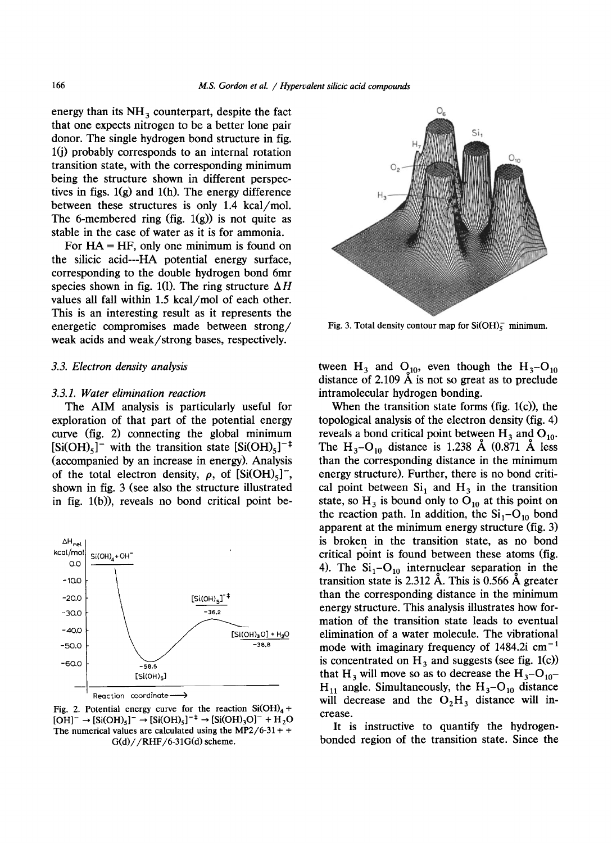energy than its  $NH_3$  counterpart, despite the fact  $\circ$ that one expects nitrogen to be a better lone pair donor. The single hydrogen bond structure in fig.  $l(i)$  probably corresponds to an internal rotation transition state, with the corresponding minimum being the structure shown in different perspectives in figs.  $1(g)$  and  $1(h)$ . The energy difference between these structures is only 1.4 kcal/mol. The 6-membered ring (fig.  $1(g)$ ) is not quite as stable in the case of water as it is for ammonia.

For  $HA = HF$ , only one minimum is found on the silicic acid---HA potential energy surface, corresponding to the double hydrogen bond 6mr species shown in fig. 1(1). The ring structure  $\Delta H$ values all fall within 1.5 kcal/mol of each other. This is an interesting result as it represents the energetic compromises made between strong/ weak acids and weak/strong bases, respectively.

## *3.3. Electron density analysis*

#### *3.3.1. Water elimination reaction*

The AIM analysis is particularly useful for exploration of that part of the potential energy curve (fig. 2) connecting the global minimum  $[Si(OH)_{5}]^-$  with the transition state  $[Si(OH)_{5}]^{-1}$ (accompanied by an increase in energy). Analysis of the total electron density,  $\rho$ , of  $\text{[Si(OH)<sub>5</sub>]}$ , shown in fig. 3 (see also the structure illustrated in fig. l(b)), reveals no bond critical point be-



Fig. 2. Potential energy curve for the reaction  $Si(OH)_4 +$  $[OH]^- \rightarrow [Si(OH)_5]^- \rightarrow [Si(OH)_5]^{-\ddagger} \rightarrow [Si(OH)_3O]^- + H_2O$ The numerical values are calculated using the MP2/6-31 + +  $G(d)//RHF/6-31G(d)$  scheme.



Fig. 3. Total density contour map for  $Si(OH)<sub>5</sub>$  minimum.

tween  $H_3$  and  $Q_{10}$ , even though the  $H_3-O_{10}$ distance of 2.109  $\AA$  is not so great as to preclude intramolecular hydrogen bonding.

When the transition state forms (fig. 1(c)), the topological analysis of the electron density (fig. 4) reveals a bond critical point between  $H_3$  and  $O_{10}$ . The  $H_3-O_{10}$  distance is 1.238 Å (0.871 Å less than the corresponding distance in the minimum energy structure). Further, there is no bond critical point between  $Si<sub>1</sub>$  and  $H<sub>3</sub>$  in the transition state, so  $H_3$  is bound only to  $O_{10}$  at this point on the reaction path. In addition, the  $Si<sub>1</sub>-O<sub>10</sub>$  bond apparent at the minimum energy structure (fig. 3) is broken in the transition state, as no bond critical point is found between these atoms (fig. 4). The  $Si_1-O_{10}$  internuclear separation in the transition state is  $2.312$  Å. This is 0.566 Å greater than the corresponding distance in the minimum energy structure. This analysis illustrates how formation of the transition state leads to eventual elimination of a water molecule. The vibrational mode with imaginary frequency of  $1484.2$ i cm<sup>-1</sup> is concentrated on  $H_3$  and suggests (see fig. 1(c)) that H<sub>3</sub> will move so as to decrease the  $H_3-O_{10}$ - $H_{11}$  angle. Simultaneously, the  $H_3-O_{10}$  distance will decrease and the  $O_2H_3$  distance will increase.

It is instructive to quantify the hydrogenbonded region of the transition state. Since the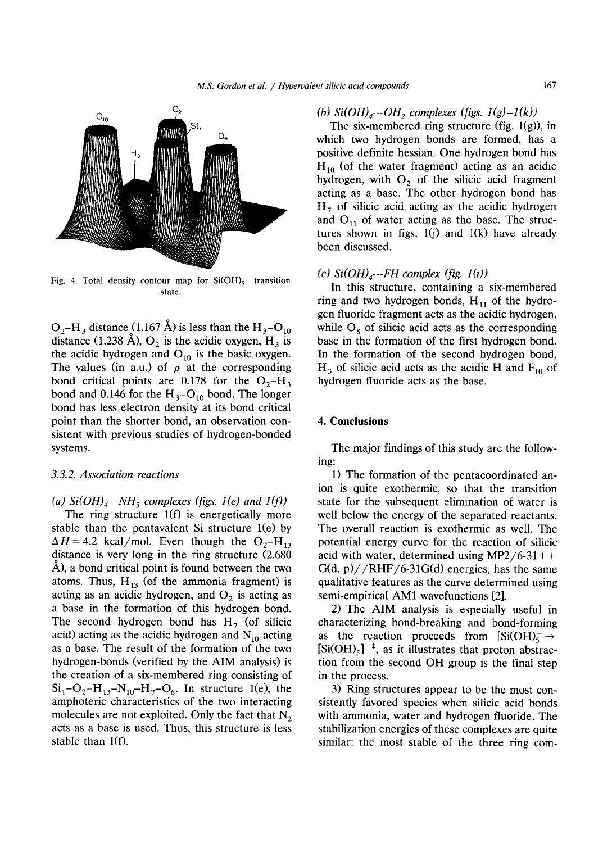

Fig. 4. Total density contour map for  $Si(OH)_{5}^{-}$  transition state.

 $O_2-H_3$  distance (1.167 Å) is less than the  $H_3-O_{10}$ distance (1.238 Å),  $O_2$  is the acidic oxygen,  $H_3$  is the acidic hydrogen and  $O_{10}$  is the basic oxygen. The values (in a.u.) of  $\rho$  at the corresponding bond critical points are 0.178 for the  $O_2-H_3$ bond and 0.146 for the  $H_3-O_{10}$  bond. The longer bond has less electron density at its bond critical point than the shorter bond, an observation consistent with previous studies of hydrogen-bonded systems.

# *3.3.2. Association reactions*

(a)  $Si(OH)_{4}$ ---NH<sub>3</sub> complexes (figs. 1(e) and 1(f))

The ring structure  $1(f)$  is energetically more stable than the pentavalent Si structure  $1(e)$  by  $\Delta H = 4.2$  kcal/mol. Even though the O<sub>2</sub>-H<sub>13</sub> distance is very long in the ring structure (2.680 A), a bond critical point is found between the two atoms. Thus,  $H_{13}$  (of the ammonia fragment) is acting as an acidic hydrogen, and  $O_2$  is acting as a base in the formation of this hydrogen bond. The second hydrogen bond has  $H_7$  (of silicic acid) acting as the acidic hydrogen and  $N_{10}$  acting as a base. The result of the formation of the two hydrogen-bonds (verified by the AIM analysis) is the creation of a six-membered ring consisting of  $Si_1-O_2-H_{13}-N_{10}-H_7-O_6$ . In structure 1(e), the amphoteric characteristics of the two interacting molecules are not exploited. Only the fact that  $N_2$ acts as a base is used. Thus, this structure is less stable than 1(f).

# *(b)*  $Si(OH)_{4}$ --- $OH$ , complexes (figs.  $1(g)-1(k)$ )

The six-membered ring structure (fig.  $1(g)$ ), in which two hydrogen bonds are formed, has a positive definite hessian. One hydrogen bond has  $H_{10}$  (of the water fragment) acting as an acidic hydrogen, with  $O_2$  of the silicic acid fragment acting as a base. The other hydrogen bond has  $H<sub>7</sub>$  of silicic acid acting as the acidic hydrogen and  $O_{11}$  of water acting as the base. The structures shown in figs.  $1(j)$  and  $1(k)$  have already been discussed.

## $(c)$  Si $(OH)_{\text{A}}$ ---FH complex (fig. 1(i))

In this structure, containing a six-membered ring and two hydrogen bonds,  $H_{11}$  of the hydrogen fluoride fragment acts as the acidic hydrogen, while  $O<sub>s</sub>$  of silicic acid acts as the corresponding base in the formation of the first hydrogen bond. In the formation of the second hydrogen bond,  $H_3$  of silicic acid acts as the acidic H and  $F_{10}$  of hydrogen fluoride acts as the base.

# **4. Conclusions**

The major findings of this study are the following:

1) The formation of the pentacoordinated anion is quite exothermic, so that the transition state for the subsequent elimination of water is well below the energy of the separated reactants. The overall reaction is exothermic as well. The potential energy curve for the reaction of silicic acid with water, determined using  $MP2/6-31++$  $G(d, p)$ //RHF/6-31 $G(d)$  energies, has the same qualitative features as the curve determined using semi-empirical AM1 wavefunctions [2].

2) The AIM analysis is especially useful in characterizing bond-breaking and bond-forming as the reaction proceeds from  $\left[Si(OH)\right]_{\leq}^{\sim}$  $[Si(OH)_{5}]^{-\ddagger}$ , as it illustrates that proton abstraction from the second OH group is the final step in the process.

3) Ring structures appear to be the most consistently favored species when silicic acid bonds with ammonia, water and hydrogen fluoride. The stabilization energies of these complexes are quite similar: the most stable of the three ring com